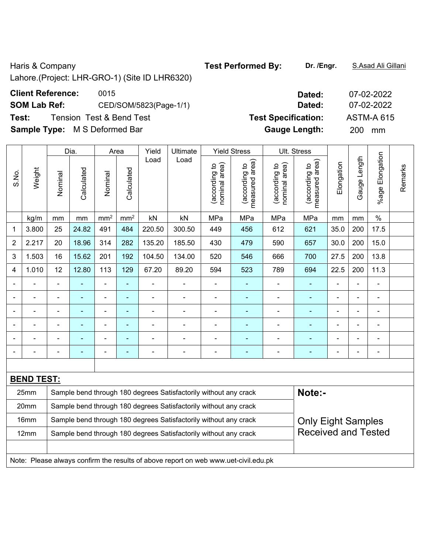Haris & Company **Test Performed By:** Dr. /Engr. **S.Asad Ali Gillani Haris & Company** 

Lahore.(Project: LHR-GRO-1) (Site ID LHR6320)

## **Client Reference: 0015**

**SOM Lab Ref:** CED/SOM/5823(Page-1/1)

**Test: Tension Test & Bend Test <b>Specifical** Specification: **Test Specifical Specifical Specifical** 

**Sample Type:** M S Deformed Bar

|                |                                                                                                        |                          |                | Dia.<br>Yield<br>Ultimate<br><b>Yield Stress</b><br>Ult. Stress<br>Area |                          |                |                                                                  |                                |                                 |                                |                                 |                          |                |                           |         |
|----------------|--------------------------------------------------------------------------------------------------------|--------------------------|----------------|-------------------------------------------------------------------------|--------------------------|----------------|------------------------------------------------------------------|--------------------------------|---------------------------------|--------------------------------|---------------------------------|--------------------------|----------------|---------------------------|---------|
| S.No.          | Weight                                                                                                 | Nominal                  | Calculated     | Nominal                                                                 | Calculated               | Load           | Load                                                             | nominal area)<br>(according to | measured area)<br>(according to | nominal area)<br>(according to | measured area)<br>(according to | Elongation               | Gauge Length   | Elongation<br>$%$ age $I$ | Remarks |
|                | kg/m                                                                                                   | mm                       | mm             | mm <sup>2</sup>                                                         | mm <sup>2</sup>          | kN             | kN                                                               | MPa                            | MPa                             | MPa                            | MPa                             | mm                       | mm             | $\%$                      |         |
| 1              | 3.800                                                                                                  | 25                       | 24.82          | 491                                                                     | 484                      | 220.50         | 300.50                                                           | 449                            | 456                             | 612                            | 621                             | 35.0                     | 200            | 17.5                      |         |
| $\overline{2}$ | 2.217                                                                                                  | 20                       | 18.96          | 314                                                                     | 282                      | 135.20         | 185.50                                                           | 430                            | 479                             | 590                            | 657                             | 30.0                     | 200            | 15.0                      |         |
| 3              | 1.503                                                                                                  | 16                       | 15.62          | 201                                                                     | 192                      | 104.50         | 134.00                                                           | 520                            | 546                             | 666                            | 700                             | 27.5                     | 200            | 13.8                      |         |
| 4              | 1.010                                                                                                  | 12                       | 12.80          | 113                                                                     | 129                      | 67.20          | 89.20                                                            | 594                            | 523                             | 789                            | 694                             | 22.5                     | 200            | 11.3                      |         |
|                |                                                                                                        | Ē,                       |                | ÷                                                                       |                          |                |                                                                  |                                |                                 |                                |                                 |                          |                | $\blacksquare$            |         |
|                |                                                                                                        |                          | ۰              | ÷                                                                       | ٠                        | $\blacksquare$ | $\overline{\phantom{a}}$                                         | $\overline{\phantom{0}}$       | $\overline{\phantom{0}}$        | $\blacksquare$                 | ۰                               | $\blacksquare$           | $\blacksquare$ | $\overline{\phantom{0}}$  |         |
| ۰              |                                                                                                        | $\blacksquare$           | $\blacksquare$ | ÷                                                                       | $\overline{\phantom{0}}$ | $\blacksquare$ | $\overline{a}$                                                   | $\blacksquare$                 | $\blacksquare$                  |                                | ÷                               | $\overline{\phantom{a}}$ |                | $\overline{\phantom{a}}$  |         |
|                |                                                                                                        | $\overline{\phantom{0}}$ | ÷              | ÷                                                                       | ٠                        |                | $\overline{\phantom{a}}$                                         | $\blacksquare$                 |                                 |                                | Ē.                              |                          | $\blacksquare$ | $\blacksquare$            |         |
|                |                                                                                                        | $\blacksquare$           | ۰              | $\blacksquare$                                                          | ٠                        | ä,             | $\overline{a}$                                                   | $\blacksquare$                 | ٠                               | $\blacksquare$                 | Ē.                              |                          | $\blacksquare$ | $\blacksquare$            |         |
|                |                                                                                                        |                          |                | $\blacksquare$                                                          | ٠                        |                |                                                                  |                                |                                 |                                | ٠                               |                          |                | $\blacksquare$            |         |
|                |                                                                                                        |                          |                |                                                                         |                          |                |                                                                  |                                |                                 |                                |                                 |                          |                |                           |         |
|                | <b>BEND TEST:</b>                                                                                      |                          |                |                                                                         |                          |                |                                                                  |                                |                                 |                                |                                 |                          |                |                           |         |
|                | 25mm                                                                                                   |                          |                |                                                                         |                          |                | Sample bend through 180 degrees Satisfactorily without any crack |                                |                                 |                                | Note:-                          |                          |                |                           |         |
|                | 20mm                                                                                                   |                          |                |                                                                         |                          |                | Sample bend through 180 degrees Satisfactorily without any crack |                                |                                 |                                |                                 |                          |                |                           |         |
|                | 16mm                                                                                                   |                          |                |                                                                         |                          |                | Sample bend through 180 degrees Satisfactorily without any crack |                                |                                 |                                | <b>Only Eight Samples</b>       |                          |                |                           |         |
|                | <b>Received and Tested</b><br>Sample bend through 180 degrees Satisfactorily without any crack<br>12mm |                          |                |                                                                         |                          |                |                                                                  |                                |                                 |                                |                                 |                          |                |                           |         |
|                |                                                                                                        |                          |                |                                                                         |                          |                |                                                                  |                                |                                 |                                |                                 |                          |                |                           |         |
|                | Note: Please always confirm the results of above report on web www.uet-civil.edu.pk                    |                          |                |                                                                         |                          |                |                                                                  |                                |                                 |                                |                                 |                          |                |                           |         |

| Dated:               | 07-02-2022        |
|----------------------|-------------------|
| Dated:               | 07-02-2022        |
| est Specification:   | <b>ASTM-A 615</b> |
| <b>Gauge Length:</b> | 200<br>mm         |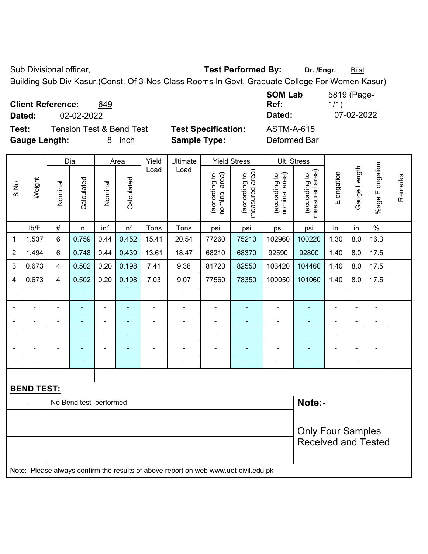Sub Divisional officer, **Test Performed By:** Dr. /Engr. **Bilal** 

Building Sub Div Kasur.(Const. Of 3-Nos Class Rooms In Govt. Graduate College For Women Kasur)

**Client Reference:** 649

**Test:** Tension Test & Bend Test **Test Specification:** ASTM-A-615 **Gauge Length:** 8 inch **Sample Type:** Deformed Bar

**SOM Lab Ref:**  5819 (Page-1/1) **Dated:** 02-02-2022 **Dated:** 07-02-2022

|                |                                                                                     |                          | Dia.                   |                 | Area            | Yield          | Ultimate       |                                | <b>Yield Stress</b>             |                                | Ult. Stress                     |                |                |                          |         |
|----------------|-------------------------------------------------------------------------------------|--------------------------|------------------------|-----------------|-----------------|----------------|----------------|--------------------------------|---------------------------------|--------------------------------|---------------------------------|----------------|----------------|--------------------------|---------|
| S.No.          | Weight                                                                              | Nominal                  | Calculated             | Nominal         | Calculated      | Load           | Load           | nominal area)<br>(according to | (according to<br>measured area) | nominal area)<br>(according to | measured area)<br>(according to | Elongation     | Gauge Length   | %age Elongation          | Remarks |
|                | lb/ft                                                                               | $\#$                     | in                     | in <sup>2</sup> | in <sup>2</sup> | Tons           | Tons           | psi                            | psi                             | psi                            | psi                             | in             | in             | $\%$                     |         |
| 1              | 1.537                                                                               | 6                        | 0.759                  | 0.44            | 0.452           | 15.41          | 20.54          | 77260                          | 75210                           | 102960                         | 100220                          | 1.30           | 8.0            | 16.3                     |         |
| $\overline{2}$ | 1.494                                                                               | 6                        | 0.748                  | 0.44            | 0.439           | 13.61          | 18.47          | 68210                          | 68370                           | 92590                          | 92800                           | 1.40           | 8.0            | 17.5                     |         |
| 3              | 0.673                                                                               | 4                        | 0.502                  | 0.20            | 0.198           | 7.41           | 9.38           | 81720                          | 82550                           | 103420                         | 104460                          | 1.40           | 8.0            | 17.5                     |         |
| 4              | 0.673                                                                               | 4                        | 0.502                  | 0.20            | 0.198           | 7.03           | 9.07           | 77560                          | 78350                           | 100050                         | 101060                          | 1.40           | 8.0            | 17.5                     |         |
| $\blacksquare$ |                                                                                     | $\blacksquare$           |                        | ä,              | $\blacksquare$  | $\blacksquare$ | $\blacksquare$ | $\blacksquare$                 | $\sim$                          | $\blacksquare$                 | ÷,                              | ÷              |                | ä,                       |         |
|                |                                                                                     | $\blacksquare$           | $\blacksquare$         | ۰               | $\blacksquare$  | $\blacksquare$ |                | $\blacksquare$                 | $\blacksquare$                  | $\blacksquare$                 | ÷                               | ۰              |                | -                        |         |
| ۰              |                                                                                     | $\blacksquare$           |                        | $\blacksquare$  | ÷               | L.             | ÷              | $\blacksquare$                 | ä,                              | $\blacksquare$                 | $\blacksquare$                  | ÷              |                | ä,                       |         |
| $\blacksquare$ |                                                                                     | $\blacksquare$           | $\blacksquare$         | ÷               | ä,              | $\blacksquare$ | $\blacksquare$ | $\blacksquare$                 | ۰                               | $\blacksquare$                 | ÷,                              | $\blacksquare$ | $\blacksquare$ |                          |         |
| $\blacksquare$ |                                                                                     | $\blacksquare$           | $\blacksquare$         | ÷               | ٠               | ÷              | $\blacksquare$ | $\blacksquare$                 | $\overline{\phantom{a}}$        | $\qquad \qquad \blacksquare$   | ۰                               | ÷              |                |                          |         |
| ۰              |                                                                                     | $\overline{a}$           | $\blacksquare$         | $\blacksquare$  | $\blacksquare$  | $\blacksquare$ | ÷              | $\overline{\phantom{a}}$       | $\blacksquare$                  | $\qquad \qquad \blacksquare$   | $\blacksquare$                  | ۰              |                | $\overline{\phantom{a}}$ |         |
|                |                                                                                     |                          |                        |                 |                 |                |                |                                |                                 |                                |                                 |                |                |                          |         |
|                | <b>BEND TEST:</b>                                                                   |                          |                        |                 |                 |                |                |                                |                                 |                                |                                 |                |                |                          |         |
|                |                                                                                     |                          | No Bend test performed |                 |                 |                |                |                                |                                 |                                | Note:-                          |                |                |                          |         |
|                |                                                                                     |                          |                        |                 |                 |                |                |                                |                                 |                                |                                 |                |                |                          |         |
|                |                                                                                     | <b>Only Four Samples</b> |                        |                 |                 |                |                |                                |                                 |                                |                                 |                |                |                          |         |
|                |                                                                                     |                          |                        |                 |                 |                |                |                                |                                 |                                | <b>Received and Tested</b>      |                |                |                          |         |
|                |                                                                                     |                          |                        |                 |                 |                |                |                                |                                 |                                |                                 |                |                |                          |         |
|                | Note: Please always confirm the results of above report on web www.uet-civil.edu.pk |                          |                        |                 |                 |                |                |                                |                                 |                                |                                 |                |                |                          |         |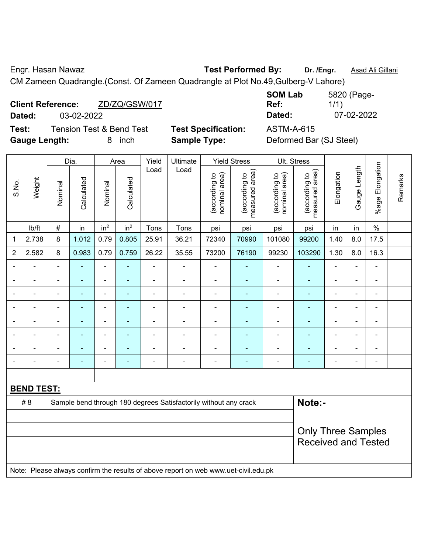Engr. Hasan Nawaz **Test Performed By: Dr. /Engr.** Asad Ali Gillani

CM Zameen Quadrangle.(Const. Of Zameen Quadrangle at Plot No.49,Gulberg-V Lahore)

|        | <b>Client Reference:</b> | ZD/ZQ/GSW/017 |  |
|--------|--------------------------|---------------|--|
| Dated: | 03-02-2022               |               |  |
|        |                          |               |  |

**SOM Lab Ref:**  5820 (Page-1/1) **Dated:** 03-02-2022 **Dated:** 07-02-2022

**Test:** Tension Test & Bend Test **Test Specification:** ASTM-A-615 **Gauge Length:** 8 inch **Sample Type:** Deformed Bar (SJ Steel)

| <b>Test Specification:</b> |  |
|----------------------------|--|
| Sample Type:               |  |

|                          |                   |                                                                  | Dia.       |                 | Area            | Yield          | Ultimate       |                                | <b>Yield Stress</b>             | Ult. Stress                    |                                 |                |                          |                       |         |
|--------------------------|-------------------|------------------------------------------------------------------|------------|-----------------|-----------------|----------------|----------------|--------------------------------|---------------------------------|--------------------------------|---------------------------------|----------------|--------------------------|-----------------------|---------|
| S.No.                    | Weight            | Nominal                                                          | Calculated | Nominal         | Calculated      | Load           | Load           | nominal area)<br>(according to | measured area)<br>(according to | nominal area)<br>(according to | measured area)<br>(according to | Elongation     | Gauge Length             | Elongation<br>$%$ age | Remarks |
|                          | Ib/ft             | $\#$                                                             | in         | in <sup>2</sup> | in <sup>2</sup> | Tons           | Tons           | psi                            | psi                             | psi                            | psi                             | in             | in                       | $\%$                  |         |
| 1                        | 2.738             | 8                                                                | 1.012      | 0.79            | 0.805           | 25.91          | 36.21          | 72340                          | 70990                           | 101080                         | 99200                           | 1.40           | 8.0                      | 17.5                  |         |
| $\overline{c}$           | 2.582             | 8                                                                | 0.983      | 0.79            | 0.759           | 26.22          | 35.55          | 73200                          | 76190                           | 99230                          | 103290                          | 1.30           | 8.0                      | 16.3                  |         |
| $\overline{\phantom{a}}$ |                   | $\blacksquare$                                                   |            | $\blacksquare$  | ۰               |                | $\blacksquare$ | $\overline{a}$                 | -                               | $\overline{\phantom{0}}$       |                                 | ۰              | $\blacksquare$           | $\blacksquare$        |         |
|                          |                   |                                                                  |            |                 | $\blacksquare$  |                |                | $\blacksquare$                 | $\blacksquare$                  |                                |                                 |                |                          | $\blacksquare$        |         |
| $\overline{a}$           |                   |                                                                  |            | ٠               |                 |                | $\blacksquare$ | $\blacksquare$                 | -                               | $\overline{\phantom{0}}$       |                                 |                |                          | Ē,                    |         |
| $\overline{\phantom{a}}$ | $\overline{a}$    |                                                                  |            | ۰               | ۰               |                | $\blacksquare$ | $\blacksquare$                 | ÷                               | $\overline{\phantom{0}}$       | ۰                               | $\blacksquare$ |                          | $\blacksquare$        |         |
| $\overline{a}$           |                   |                                                                  |            | ۰               |                 |                |                |                                |                                 |                                |                                 |                | $\overline{\phantom{a}}$ | ۰                     |         |
|                          |                   |                                                                  |            | ٠               |                 |                |                |                                |                                 |                                |                                 |                |                          | ÷                     |         |
|                          |                   |                                                                  |            |                 |                 |                |                |                                |                                 |                                |                                 |                |                          |                       |         |
| $\overline{\phantom{a}}$ |                   | ٠                                                                |            | ٠               |                 | $\blacksquare$ | $\blacksquare$ | $\blacksquare$                 |                                 | $\overline{\phantom{0}}$       |                                 | $\blacksquare$ | $\overline{\phantom{0}}$ | $\blacksquare$        |         |
|                          |                   |                                                                  |            |                 |                 |                |                |                                |                                 |                                |                                 |                |                          |                       |         |
|                          | <u>BEND TEST:</u> |                                                                  |            |                 |                 |                |                |                                |                                 |                                |                                 |                |                          |                       |         |
|                          | #8                | Sample bend through 180 degrees Satisfactorily without any crack |            |                 |                 |                |                |                                |                                 |                                | Note:-                          |                |                          |                       |         |
|                          |                   |                                                                  |            |                 |                 |                |                |                                |                                 |                                |                                 |                |                          |                       |         |
|                          |                   |                                                                  |            |                 |                 |                |                |                                |                                 |                                | <b>Only Three Samples</b>       |                |                          |                       |         |
|                          |                   | <b>Received and Tested</b>                                       |            |                 |                 |                |                |                                |                                 |                                |                                 |                |                          |                       |         |

Note: Please always confirm the results of above report on web www.uet-civil.edu.pk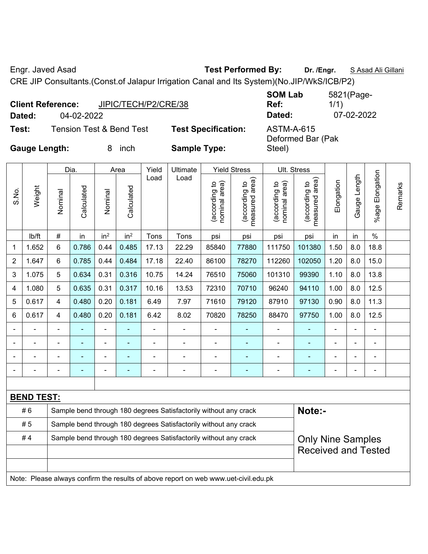Engr. Javed Asad **Test Performed By: Dr. /Engr.** S Asad Ali Gillani

CRE JIP Consultants.(Const.of Jalapur Irrigation Canal and Its System)(No.JIP/WkS/ICB/P2)

| <b>Client Reference:</b><br>Dated: | 04-02-2022 | JIPIC/TECH/P2/CRE/38                |                            | <b>SOM Lab</b><br>Ref:<br>Dated: | 5821(Page-<br>1/1)<br>07-02-2022 |
|------------------------------------|------------|-------------------------------------|----------------------------|----------------------------------|----------------------------------|
| Test:                              |            | <b>Tension Test &amp; Bend Test</b> | <b>Test Specification:</b> | ASTM-A-615                       |                                  |
| <b>Gauge Length:</b>               |            | inch<br>x                           | <b>Sample Type:</b>        | Deformed Bar (Pak<br>Steel)      |                                  |

|       |                   |                                                                                              | Dia.       |                          | Area            | Yield          | Ultimate                                                                            |                                | <b>Yield Stress</b>             |                                | Ult. Stress                     |            |                |                 |         |
|-------|-------------------|----------------------------------------------------------------------------------------------|------------|--------------------------|-----------------|----------------|-------------------------------------------------------------------------------------|--------------------------------|---------------------------------|--------------------------------|---------------------------------|------------|----------------|-----------------|---------|
| S.No. | Weight            | Nominal                                                                                      | Calculated | Nominal                  | Calculated      | Load           | Load                                                                                | nominal area)<br>(according to | (according to<br>measured area) | nominal area)<br>(according to | measured area)<br>(according to | Elongation | Gauge Length   | %age Elongation | Remarks |
|       | lb/ft             | #                                                                                            | in         | in <sup>2</sup>          | in <sup>2</sup> | Tons           | Tons                                                                                | psi                            | psi                             | psi                            | psi                             | in         | in             | $\%$            |         |
| 1     | 1.652             | 6                                                                                            | 0.786      | 0.44                     | 0.485           | 17.13          | 22.29                                                                               | 85840                          | 77880                           | 111750                         | 101380                          | 1.50       | 8.0            | 18.8            |         |
| 2     | 1.647             | 6                                                                                            | 0.785      | 0.44                     | 0.484           | 17.18          | 22.40                                                                               | 86100                          | 78270                           | 112260                         | 102050                          | 1.20       | 8.0            | 15.0            |         |
| 3     | 1.075             | 5                                                                                            | 0.634      | 0.31                     | 0.316           | 10.75          | 14.24                                                                               | 76510                          | 75060                           | 101310                         | 99390                           | 1.10       | 8.0            | 13.8            |         |
| 4     | 1.080             | 5                                                                                            | 0.635      | 0.31                     | 0.317           | 10.16          | 13.53                                                                               | 72310                          | 70710                           | 96240                          | 94110                           | 1.00       | 8.0            | 12.5            |         |
| 5     | 0.617             | 4                                                                                            | 0.480      | 0.20                     | 0.181           | 6.49           | 7.97                                                                                | 71610                          | 79120                           | 87910                          | 97130                           | 0.90       | 8.0            | 11.3            |         |
| 6     | 0.617             | 4                                                                                            | 0.480      | 0.20                     | 0.181           | 6.42           | 8.02                                                                                | 70820                          | 78250                           | 88470                          | 97750                           | 1.00       | 8.0            | 12.5            |         |
|       |                   | $\blacksquare$                                                                               | ÷,         | $\overline{\phantom{a}}$ |                 | $\blacksquare$ | $\blacksquare$                                                                      | $\blacksquare$                 | $\blacksquare$                  | $\overline{\phantom{a}}$       | ٠                               |            | $\blacksquare$ | ä,              |         |
|       |                   | $\blacksquare$                                                                               | ä,         | $\blacksquare$           |                 | ä,             | $\blacksquare$                                                                      | $\blacksquare$                 | $\blacksquare$                  | $\blacksquare$                 | ä,                              |            |                | ÷               |         |
|       |                   |                                                                                              |            |                          |                 |                |                                                                                     |                                |                                 |                                |                                 |            |                |                 |         |
|       |                   |                                                                                              |            |                          |                 |                |                                                                                     |                                | ۳                               |                                |                                 |            |                |                 |         |
|       |                   |                                                                                              |            |                          |                 |                |                                                                                     |                                |                                 |                                |                                 |            |                |                 |         |
|       | <b>BEND TEST:</b> |                                                                                              |            |                          |                 |                |                                                                                     |                                |                                 |                                |                                 |            |                |                 |         |
|       | #6                |                                                                                              |            |                          |                 |                | Sample bend through 180 degrees Satisfactorily without any crack                    |                                |                                 |                                | Note:-                          |            |                |                 |         |
|       | #5                |                                                                                              |            |                          |                 |                | Sample bend through 180 degrees Satisfactorily without any crack                    |                                |                                 |                                |                                 |            |                |                 |         |
|       | #4                | Sample bend through 180 degrees Satisfactorily without any crack<br><b>Only Nine Samples</b> |            |                          |                 |                |                                                                                     |                                |                                 |                                |                                 |            |                |                 |         |
|       |                   | <b>Received and Tested</b>                                                                   |            |                          |                 |                |                                                                                     |                                |                                 |                                |                                 |            |                |                 |         |
|       |                   |                                                                                              |            |                          |                 |                |                                                                                     |                                |                                 |                                |                                 |            |                |                 |         |
|       |                   |                                                                                              |            |                          |                 |                | Note: Please always confirm the results of above report on web www.uet-civil.edu.pk |                                |                                 |                                |                                 |            |                |                 |         |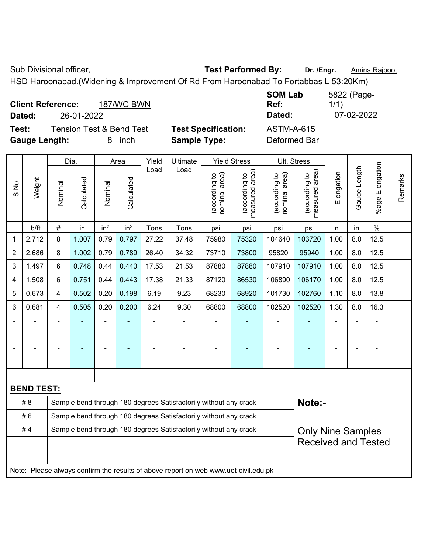Sub Divisional officer, **Test Performed By:** Dr. /Engr. **Amina Rajpoot Capacity** 

HSD Haroonabad.(Widening & Improvement Of Rd From Haroonabad To Fortabbas L 53:20Km) **SOM Lab** 

| <b>Client Reference:</b>                     | <b>187/WC BWN</b> |                            | <b>SOM Lab</b><br>Ref: | 5822 (Page-<br>1/1) |
|----------------------------------------------|-------------------|----------------------------|------------------------|---------------------|
| 26-01-2022<br>Dated:                         |                   |                            | Dated:                 | 07-02-2022          |
| <b>Tension Test &amp; Bend Test</b><br>Test: |                   | <b>Test Specification:</b> | <b>ASTM-A-615</b>      |                     |
| <b>Gauge Length:</b><br>8                    | inch              | <b>Sample Type:</b>        | Deformed Bar           |                     |

|                |                   |                | Dia.           |                 | Area            | Yield          | Ultimate                                                                            |                                | <b>Yield Stress</b>             |                                | Ult. Stress                     |            |              |                       |         |  |
|----------------|-------------------|----------------|----------------|-----------------|-----------------|----------------|-------------------------------------------------------------------------------------|--------------------------------|---------------------------------|--------------------------------|---------------------------------|------------|--------------|-----------------------|---------|--|
| S.No.          | Weight            | Nominal        | Calculated     | Nominal         | Calculated      | Load           | Load                                                                                | nominal area)<br>(according to | (according to<br>measured area) | nominal area)<br>(according to | measured area)<br>(according to | Elongation | Gauge Length | Elongation<br>$%$ age | Remarks |  |
|                | lb/ft             | #              | in             | in <sup>2</sup> | in <sup>2</sup> | Tons           | Tons                                                                                | psi                            | psi                             | psi                            | psi                             | in         | in           | $\%$                  |         |  |
| 1              | 2.712             | 8              | 1.007          | 0.79            | 0.797           | 27.22          | 37.48                                                                               | 75980                          | 75320                           | 104640                         | 103720                          | 1.00       | 8.0          | 12.5                  |         |  |
| $\overline{2}$ | 2.686             | 8              | 1.002          | 0.79            | 0.789           | 26.40          | 34.32                                                                               | 73710                          | 73800                           | 95820                          | 95940                           | 1.00       | 8.0          | 12.5                  |         |  |
| 3              | 1.497             | 6              | 0.748          | 0.44            | 0.440           | 17.53          | 21.53                                                                               | 87880                          | 87880                           | 107910                         | 107910                          | 1.00       | 8.0          | 12.5                  |         |  |
| 4              | 1.508             | 6              | 0.751          | 0.44            | 0.443           | 17.38          | 21.33                                                                               | 87120                          | 86530                           | 106890                         | 106170                          | 1.00       | 8.0          | 12.5                  |         |  |
| 5              | 0.673             | 4              | 0.502          | 0.20            | 0.198           | 6.19           | 9.23                                                                                | 68230                          | 68920                           | 101730                         | 102760                          | 1.10       | 8.0          | 13.8                  |         |  |
| 6              | 0.681             | 4              | 0.505          | 0.20            | 0.200           | 6.24           | 9.30                                                                                | 68800                          | 68800                           | 102520                         | 102520                          | 1.30       | 8.0          | 16.3                  |         |  |
|                | $\blacksquare$    | $\blacksquare$ | $\blacksquare$ | ä,              | $\blacksquare$  | $\blacksquare$ | $\blacksquare$                                                                      | $\blacksquare$                 | $\blacksquare$                  | $\blacksquare$                 | ä,                              | ÷,         | ä,           | ä,                    |         |  |
|                |                   |                |                | $\blacksquare$  | $\blacksquare$  |                |                                                                                     | $\blacksquare$                 | $\blacksquare$                  | $\blacksquare$                 |                                 |            |              | $\blacksquare$        |         |  |
|                |                   |                |                | Ē,              |                 |                |                                                                                     |                                |                                 |                                |                                 |            |              |                       |         |  |
|                |                   | $\blacksquare$ | $\blacksquare$ | -               | ٠               | ÷              | $\blacksquare$                                                                      | $\blacksquare$                 | $\overline{\phantom{a}}$        | ÷                              | ۰                               | -          | ÷            | $\blacksquare$        |         |  |
|                |                   |                |                |                 |                 |                |                                                                                     |                                |                                 |                                |                                 |            |              |                       |         |  |
|                | <b>BEND TEST:</b> |                |                |                 |                 |                |                                                                                     |                                |                                 |                                |                                 |            |              |                       |         |  |
|                | # 8               |                |                |                 |                 |                | Sample bend through 180 degrees Satisfactorily without any crack                    |                                |                                 |                                | Note:-                          |            |              |                       |         |  |
|                | #6                |                |                |                 |                 |                | Sample bend through 180 degrees Satisfactorily without any crack                    |                                |                                 |                                |                                 |            |              |                       |         |  |
|                | #4                |                |                |                 |                 |                | Sample bend through 180 degrees Satisfactorily without any crack                    |                                |                                 |                                | <b>Only Nine Samples</b>        |            |              |                       |         |  |
|                |                   |                |                |                 |                 |                |                                                                                     |                                |                                 |                                | <b>Received and Tested</b>      |            |              |                       |         |  |
|                |                   |                |                |                 |                 |                |                                                                                     |                                |                                 |                                |                                 |            |              |                       |         |  |
|                |                   |                |                |                 |                 |                | Note: Please always confirm the results of above report on web www.uet-civil.edu.pk |                                |                                 |                                |                                 |            |              |                       |         |  |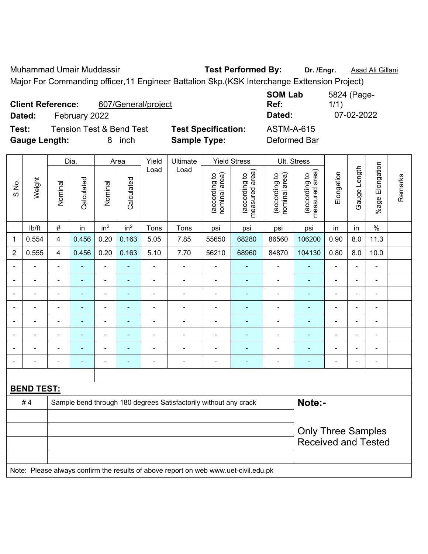Muhammad Umair Muddassir **Test Performed By:** Dr. /Engr. **Asad Ali Gillani** Major For Commanding officer,11 Engineer Battalion Skp.(KSK Interchange Exttension Project)

| 607/General/project<br><b>Client Reference:</b><br>February 2022<br>Dated:         |                                                   | <b>SOM Lab</b><br>Ref:<br>Dated:  | 5824 (Page-<br>1/1)<br>07-02-2022 |
|------------------------------------------------------------------------------------|---------------------------------------------------|-----------------------------------|-----------------------------------|
| <b>Tension Test &amp; Bend Test</b><br>Test:<br><b>Gauge Length:</b><br>inch<br>8. | <b>Test Specification:</b><br><b>Sample Type:</b> | <b>ASTM-A-615</b><br>Deformed Bar |                                   |

|                          |                   |                           | Dia.           |                 | Area            | Yield          | Ultimate                                                                            |                                | <b>Yield Stress</b>             |                                | Ult. Stress                     |                |                |                 |         |
|--------------------------|-------------------|---------------------------|----------------|-----------------|-----------------|----------------|-------------------------------------------------------------------------------------|--------------------------------|---------------------------------|--------------------------------|---------------------------------|----------------|----------------|-----------------|---------|
| S.No.                    | Weight            | Nominal                   | Calculated     | Nominal         | Calculated      | Load           | Load                                                                                | nominal area)<br>(according to | (according to<br>measured area) | (according to<br>nominal area) | measured area)<br>(according to | Elongation     | Gauge Length   | %age Elongation | Remarks |
|                          | lb/ft             | $\#$                      | in             | in <sup>2</sup> | in <sup>2</sup> | Tons           | Tons                                                                                | psi                            | psi                             | psi                            | psi                             | in             | in             | $\%$            |         |
| 1                        | 0.554             | 4                         | 0.456          | 0.20            | 0.163           | 5.05           | 7.85                                                                                | 55650                          | 68280                           | 86560                          | 106200                          | 0.90           | 8.0            | 11.3            |         |
| $\overline{2}$           | 0.555             | 4                         | 0.456          | 0.20            | 0.163           | 5.10           | 7.70                                                                                | 56210                          | 68960                           | 84870                          | 104130                          | 0.80           | 8.0            | 10.0            |         |
|                          |                   |                           |                | ÷.              |                 | $\overline{a}$ |                                                                                     |                                |                                 | $\blacksquare$                 | $\blacksquare$                  |                | ÷              | $\blacksquare$  |         |
|                          | $\blacksquare$    |                           | $\blacksquare$ | $\blacksquare$  |                 |                | $\blacksquare$                                                                      | Ē,                             | $\blacksquare$                  | $\blacksquare$                 |                                 |                | ÷              | ÷               |         |
| $\blacksquare$           | $\blacksquare$    | $\blacksquare$            | $\blacksquare$ | ÷,              | $\blacksquare$  | $\blacksquare$ | $\blacksquare$                                                                      | $\blacksquare$                 | $\blacksquare$                  | $\blacksquare$                 | ٠                               | $\blacksquare$ | $\blacksquare$ | $\blacksquare$  |         |
| $\blacksquare$           | $\blacksquare$    | $\blacksquare$            | $\blacksquare$ | Ĭ.              | $\blacksquare$  | L,             | ä,                                                                                  | $\blacksquare$                 | $\blacksquare$                  | ÷                              | $\blacksquare$                  | ÷,             | ÷              | $\blacksquare$  |         |
| $\overline{\phantom{0}}$ | $\blacksquare$    | $\blacksquare$            | $\blacksquare$ | $\frac{1}{2}$   | $\blacksquare$  | L,             | $\blacksquare$                                                                      | $\blacksquare$                 | $\overline{\phantom{a}}$        | $\overline{\phantom{a}}$       | $\blacksquare$                  | $\blacksquare$ | ÷              | $\blacksquare$  |         |
|                          | $\blacksquare$    | $\blacksquare$            | $\blacksquare$ | ÷               | $\overline{a}$  | ä,             | ä,                                                                                  | Ē,                             | $\overline{\phantom{a}}$        | ä,                             | ÷                               |                | ÷              | ä,              |         |
|                          |                   |                           | $\blacksquare$ | ä,              |                 |                | $\blacksquare$                                                                      | Ē,                             | ÷,                              | $\blacksquare$                 |                                 |                | $\blacksquare$ | $\blacksquare$  |         |
|                          |                   |                           |                | L,              |                 |                |                                                                                     | $\blacksquare$                 |                                 |                                |                                 | $\blacksquare$ | ÷              | $\blacksquare$  |         |
|                          |                   |                           |                |                 |                 |                |                                                                                     |                                |                                 |                                |                                 |                |                |                 |         |
|                          | <b>BEND TEST:</b> |                           |                |                 |                 |                |                                                                                     |                                |                                 |                                |                                 |                |                |                 |         |
|                          | #4                |                           |                |                 |                 |                | Sample bend through 180 degrees Satisfactorily without any crack                    |                                |                                 |                                | Note:-                          |                |                |                 |         |
|                          |                   |                           |                |                 |                 |                |                                                                                     |                                |                                 |                                |                                 |                |                |                 |         |
|                          |                   | <b>Only Three Samples</b> |                |                 |                 |                |                                                                                     |                                |                                 |                                |                                 |                |                |                 |         |
|                          |                   |                           |                |                 |                 |                |                                                                                     |                                |                                 |                                | <b>Received and Tested</b>      |                |                |                 |         |
|                          |                   |                           |                |                 |                 |                | Note: Please always confirm the results of above report on web www.uet-civil.edu.pk |                                |                                 |                                |                                 |                |                |                 |         |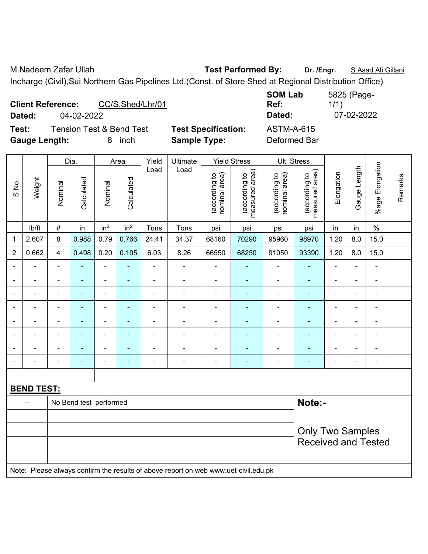M.Nadeem Zafar Ullah **Test Performed By: Dr. /Engr.** S Asad Ali Gillani Incharge (Civil),Sui Northern Gas Pipelines Ltd.(Const. of Store Shed at Regional Distribution Office)

| CC/S.Shed/Lhr/01<br><b>Client Reference:</b><br>04-02-2022<br>Dated:         |                                                   | <b>SOM Lab</b><br>Ref:<br>Dated:  | 5825 (Page-<br>1/1)<br>07-02-2022 |
|------------------------------------------------------------------------------|---------------------------------------------------|-----------------------------------|-----------------------------------|
| <b>Tension Test &amp; Bend Test</b><br>Test:<br><b>Gauge Length:</b><br>inch | <b>Test Specification:</b><br><b>Sample Type:</b> | <b>ASTM-A-615</b><br>Deformed Bar |                                   |

|                          |                   | Dia.<br>Area   |                        | Yield                    | Ultimate                 |                | <b>Yield Stress</b>                                                                 |                                | Ult. Stress                     |                                |                                 |                |                |                          |         |
|--------------------------|-------------------|----------------|------------------------|--------------------------|--------------------------|----------------|-------------------------------------------------------------------------------------|--------------------------------|---------------------------------|--------------------------------|---------------------------------|----------------|----------------|--------------------------|---------|
| S.No.                    | Weight            | Nominal        | Calculated             | Nominal                  | Calculated               | Load           | Load                                                                                | nominal area)<br>(according to | (according to<br>measured area) | nominal area)<br>(according to | (according to<br>measured area) | Elongation     | Gauge Length   | Elongation<br>$%$ age I  | Remarks |
|                          | Ib/ft             | $\#$           | in                     | in <sup>2</sup>          | in <sup>2</sup>          | Tons           | Tons                                                                                | psi                            | psi                             | psi                            | psi                             | in             | in             | $\%$                     |         |
| 1                        | 2.607             | 8              | 0.988                  | 0.79                     | 0.766                    | 24.41          | 34.37                                                                               | 68160                          | 70290                           | 95960                          | 98970                           | 1.20           | $8.0\,$        | 15.0                     |         |
| $\overline{2}$           | 0.662             | 4              | 0.498                  | 0.20                     | 0.195                    | 6.03           | 8.26                                                                                | 66550                          | 68250                           | 91050                          | 93390                           | 1.20           | 8.0            | 15.0                     |         |
| $\overline{\phantom{0}}$ | ÷                 | $\blacksquare$ | ۰                      | $\overline{a}$           | $\blacksquare$           | $\blacksquare$ | $\overline{\phantom{a}}$                                                            | Ē,                             | $\overline{\phantom{0}}$        | $\overline{\phantom{0}}$       | $\blacksquare$                  | ÷              | ÷,             | $\overline{\phantom{a}}$ |         |
| $\blacksquare$           | ä,                | $\blacksquare$ | $\blacksquare$         | ÷,                       | $\blacksquare$           | $\blacksquare$ | ä,                                                                                  | $\blacksquare$                 | $\blacksquare$                  | $\blacksquare$                 | $\blacksquare$                  | $\blacksquare$ | ä,             | $\overline{\phantom{a}}$ |         |
| $\overline{\phantom{0}}$ | ÷                 | $\blacksquare$ | $\blacksquare$         | $\overline{\phantom{0}}$ | $\overline{\phantom{a}}$ | $\blacksquare$ | $\overline{\phantom{a}}$                                                            | $\overline{a}$                 | $\blacksquare$                  | $\blacksquare$                 | $\blacksquare$                  | $\blacksquare$ | $\blacksquare$ | $\blacksquare$           |         |
| $\blacksquare$           | ä,                | $\blacksquare$ | $\blacksquare$         | $\blacksquare$           | $\overline{\phantom{a}}$ | $\blacksquare$ | $\blacksquare$                                                                      | $\blacksquare$                 | ÷,                              | $\blacksquare$                 | $\blacksquare$                  | $\blacksquare$ | $\blacksquare$ | $\blacksquare$           |         |
|                          | $\blacksquare$    | $\blacksquare$ | ä,                     | ÷                        | $\overline{\phantom{a}}$ | $\blacksquare$ | ÷                                                                                   | $\overline{a}$                 | $\blacksquare$                  | $\blacksquare$                 | $\blacksquare$                  | ä,             | $\blacksquare$ | $\blacksquare$           |         |
|                          |                   |                |                        | $\blacksquare$           |                          |                |                                                                                     |                                |                                 |                                |                                 |                | $\blacksquare$ | $\blacksquare$           |         |
|                          | $\blacksquare$    |                |                        | ÷,                       |                          |                | ÷                                                                                   | Ē,                             | ٠                               | $\blacksquare$                 | $\blacksquare$                  |                | Ē,             | Ē,                       |         |
| $\blacksquare$           | $\blacksquare$    | $\blacksquare$ | ä,                     | ÷,                       | $\blacksquare$           | $\blacksquare$ | ä,                                                                                  | $\overline{a}$                 | $\blacksquare$                  | $\blacksquare$                 | $\blacksquare$                  | $\blacksquare$ | ÷,             | $\overline{\phantom{a}}$ |         |
|                          |                   |                |                        |                          |                          |                |                                                                                     |                                |                                 |                                |                                 |                |                |                          |         |
|                          | <b>BEND TEST:</b> |                |                        |                          |                          |                |                                                                                     |                                |                                 |                                |                                 |                |                |                          |         |
|                          | --                |                | No Bend test performed |                          |                          |                |                                                                                     |                                |                                 |                                | Note:-                          |                |                |                          |         |
|                          |                   |                |                        |                          |                          |                |                                                                                     |                                |                                 |                                |                                 |                |                |                          |         |
|                          |                   |                |                        |                          |                          |                |                                                                                     |                                |                                 |                                | <b>Only Two Samples</b>         |                |                |                          |         |
|                          |                   |                |                        |                          |                          |                |                                                                                     |                                |                                 |                                | <b>Received and Tested</b>      |                |                |                          |         |
|                          |                   |                |                        |                          |                          |                |                                                                                     |                                |                                 |                                |                                 |                |                |                          |         |
|                          |                   |                |                        |                          |                          |                | Note: Please always confirm the results of above report on web www.uet-civil.edu.pk |                                |                                 |                                |                                 |                |                |                          |         |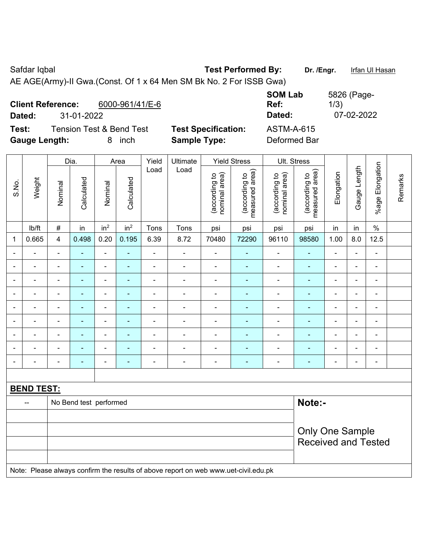Safdar Iqbal **Test Performed By:** Dr. /Engr. Ifan Ul Hasan AE AGE(Army)-II Gwa.(Const. Of 1 x 64 Men SM Bk No. 2 For ISSB Gwa)

| 6000-961/41/E-6<br><b>Client Reference:</b><br>31-01-2022<br>Dated:          |                                                   | <b>SOM Lab</b><br>Ref:<br>Dated:  | 5826 (Page-<br>1/3)<br>07-02-2022 |
|------------------------------------------------------------------------------|---------------------------------------------------|-----------------------------------|-----------------------------------|
| Test:<br><b>Tension Test &amp; Bend Test</b><br><b>Gauge Length:</b><br>inch | <b>Test Specification:</b><br><b>Sample Type:</b> | <b>ASTM-A-615</b><br>Deformed Bar |                                   |

|                |                   |                          | Dia.                   |                          | Area            |                | Ultimate                                                                            |                          | Ult. Stress<br><b>Yield Stress</b> |                                 |                                |                                 |                          |                          |                 |         |
|----------------|-------------------|--------------------------|------------------------|--------------------------|-----------------|----------------|-------------------------------------------------------------------------------------|--------------------------|------------------------------------|---------------------------------|--------------------------------|---------------------------------|--------------------------|--------------------------|-----------------|---------|
| S.No.          | Weight            |                          | Nominal                | Calculated               | Nominal         | Calculated     | Load                                                                                | Load                     | (according to<br>nominal area)     | (according to<br>measured area) | (according to<br>nominal area) | measured area)<br>(according to | Elongation               | Gauge Length             | %age Elongation | Remarks |
|                | lb/ft             | $\#$                     | in                     | in <sup>2</sup>          | in <sup>2</sup> | Tons           | Tons                                                                                | psi                      | psi                                | psi                             | psi                            | in                              | in                       | $\%$                     |                 |         |
| 1              | 0.665             | $\overline{4}$           | 0.498                  | 0.20                     | 0.195           | 6.39           | 8.72                                                                                | 70480                    | 72290                              | 96110                           | 98580                          | 1.00                            | 8.0                      | 12.5                     |                 |         |
|                |                   | $\blacksquare$           | $\blacksquare$         | $\blacksquare$           | $\blacksquare$  | $\blacksquare$ | ÷                                                                                   | $\overline{\phantom{a}}$ | $\blacksquare$                     | $\overline{\phantom{a}}$        | $\blacksquare$                 | $\blacksquare$                  | ä,                       | $\blacksquare$           |                 |         |
|                | $\blacksquare$    | $\overline{\phantom{0}}$ | $\blacksquare$         | $\overline{\phantom{a}}$ | $\overline{a}$  | $\blacksquare$ | $\blacksquare$                                                                      | $\overline{\phantom{a}}$ | $\blacksquare$                     | $\blacksquare$                  | $\blacksquare$                 | $\overline{\phantom{0}}$        | ÷                        | $\overline{\phantom{a}}$ |                 |         |
| $\blacksquare$ | ÷                 | $\blacksquare$           | $\blacksquare$         | $\overline{\phantom{a}}$ |                 | $\blacksquare$ | $\blacksquare$                                                                      | $\blacksquare$           | $\blacksquare$                     | $\blacksquare$                  | $\blacksquare$                 | $\blacksquare$                  | ä,                       | $\blacksquare$           |                 |         |
| $\blacksquare$ | ÷                 | $\blacksquare$           | $\blacksquare$         | $\overline{\phantom{a}}$ | $\overline{a}$  | $\blacksquare$ | $\blacksquare$                                                                      | $\overline{\phantom{a}}$ | $\blacksquare$                     | $\overline{\phantom{a}}$        | $\blacksquare$                 | $\blacksquare$                  | $\overline{\phantom{a}}$ | $\overline{\phantom{a}}$ |                 |         |
| $\blacksquare$ | ä,                | $\blacksquare$           | $\blacksquare$         | $\blacksquare$           | ÷               | $\blacksquare$ | ä,                                                                                  | $\blacksquare$           | $\blacksquare$                     | $\overline{\phantom{a}}$        | $\blacksquare$                 | $\overline{\phantom{a}}$        | $\blacksquare$           | $\blacksquare$           |                 |         |
|                | ÷                 | $\blacksquare$           | ÷,                     | $\overline{\phantom{a}}$ | $\blacksquare$  | L,             | ä,                                                                                  | $\blacksquare$           | $\blacksquare$                     | $\blacksquare$                  | $\blacksquare$                 | $\blacksquare$                  | ä,                       | ÷,                       |                 |         |
|                |                   |                          | ٠                      | $\overline{\phantom{0}}$ |                 |                |                                                                                     |                          | $\overline{\phantom{a}}$           | $\overline{\phantom{0}}$        | $\blacksquare$                 |                                 | ۰                        | $\blacksquare$           |                 |         |
|                | $\overline{a}$    |                          |                        | $\blacksquare$           |                 |                |                                                                                     | $\blacksquare$           | ÷                                  | $\blacksquare$                  | $\blacksquare$                 | $\blacksquare$                  | $\blacksquare$           | $\blacksquare$           |                 |         |
| $\blacksquare$ |                   | $\blacksquare$           | $\blacksquare$         | $\overline{\phantom{a}}$ | ÷               | $\blacksquare$ | $\blacksquare$                                                                      | $\blacksquare$           | $\blacksquare$                     | $\overline{\phantom{a}}$        | $\blacksquare$                 | $\blacksquare$                  | ä,                       | $\overline{\phantom{a}}$ |                 |         |
|                |                   |                          |                        |                          |                 |                |                                                                                     |                          |                                    |                                 |                                |                                 |                          |                          |                 |         |
|                | <b>BEND TEST:</b> |                          |                        |                          |                 |                |                                                                                     |                          |                                    |                                 |                                |                                 |                          |                          |                 |         |
|                |                   |                          | No Bend test performed |                          |                 |                |                                                                                     |                          |                                    |                                 | Note:-                         |                                 |                          |                          |                 |         |
|                |                   |                          |                        |                          |                 |                |                                                                                     |                          |                                    |                                 |                                |                                 |                          |                          |                 |         |
|                |                   |                          |                        |                          |                 |                |                                                                                     |                          |                                    |                                 |                                | <b>Only One Sample</b>          |                          |                          |                 |         |
|                |                   |                          |                        |                          |                 |                |                                                                                     |                          |                                    |                                 | <b>Received and Tested</b>     |                                 |                          |                          |                 |         |
|                |                   |                          |                        |                          |                 |                |                                                                                     |                          |                                    |                                 |                                |                                 |                          |                          |                 |         |
|                |                   |                          |                        |                          |                 |                | Note: Please always confirm the results of above report on web www.uet-civil.edu.pk |                          |                                    |                                 |                                |                                 |                          |                          |                 |         |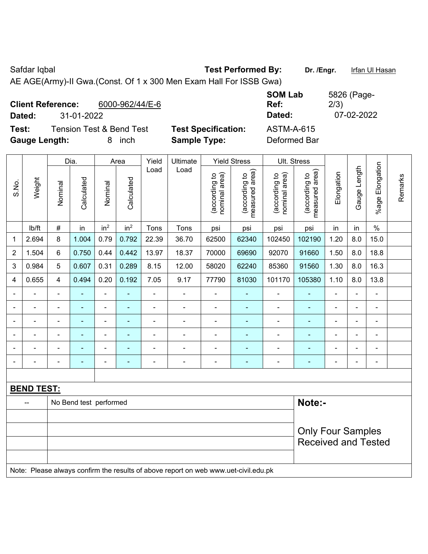Safdar Iqbal **Test Performed By:** Dr. /Engr. **Iffan Ul Hasan** AE AGE(Army)-II Gwa.(Const. Of 1 x 300 Men Exam Hall For ISSB Gwa)

| <b>Client Reference:</b> |                                     | 6000-962/44/E-6 |                            | <b>SOM Lab</b><br>Ref: | 5826 (Page-<br>2/3) |  |
|--------------------------|-------------------------------------|-----------------|----------------------------|------------------------|---------------------|--|
| Dated:                   | 31-01-2022                          |                 |                            | Dated:                 | 07-02-2022          |  |
| Test:                    | <b>Tension Test &amp; Bend Test</b> |                 | <b>Test Specification:</b> | ASTM-A-615             |                     |  |
| <b>Gauge Length:</b>     |                                     | inch            | <b>Sample Type:</b>        | Deformed Bar           |                     |  |

| Weight<br>S.No.          |                   | Dia.                     |                        |                 | Area                     | Yield          | Ultimate<br><b>Yield Stress</b>                                                     |                                |                                 | Ult. Stress                    |                                 |                |                          |                 |         |
|--------------------------|-------------------|--------------------------|------------------------|-----------------|--------------------------|----------------|-------------------------------------------------------------------------------------|--------------------------------|---------------------------------|--------------------------------|---------------------------------|----------------|--------------------------|-----------------|---------|
|                          |                   | Nominal                  | Calculated             | Nominal         | Calculated               | Load           | Load                                                                                | nominal area)<br>(according to | (according to<br>measured area) | nominal area)<br>(according to | measured area)<br>(according to | Elongation     | Gauge Length             | %age Elongation | Remarks |
|                          | Ib/ft             | $\#$                     | in                     | in <sup>2</sup> | in <sup>2</sup>          | Tons           | Tons                                                                                | psi                            | psi                             | psi                            | psi                             | in             | in                       | $\%$            |         |
| 1                        | 2.694             | 8                        | 1.004                  | 0.79            | 0.792                    | 22.39          | 36.70                                                                               | 62500                          | 62340                           | 102450                         | 102190                          | 1.20           | 8.0                      | 15.0            |         |
| $\overline{2}$           | 1.504             | $6\phantom{1}$           | 0.750                  | 0.44            | 0.442                    | 13.97          | 18.37                                                                               | 70000                          | 69690                           | 92070                          | 91660                           | 1.50           | 8.0                      | 18.8            |         |
| 3                        | 0.984             | 5                        | 0.607                  | 0.31            | 0.289                    | 8.15           | 12.00                                                                               | 58020                          | 62240                           | 85360                          | 91560                           | 1.30           | 8.0                      | 16.3            |         |
| 4                        | 0.655             | 4                        | 0.494                  | 0.20            | 0.192                    | 7.05           | 9.17                                                                                | 77790                          | 81030                           | 101170                         | 105380                          | 1.10           | 8.0                      | 13.8            |         |
| $\overline{\phantom{0}}$ | ä,                | $\blacksquare$           | ÷                      | $\blacksquare$  | $\blacksquare$           | $\blacksquare$ | $\blacksquare$                                                                      | $\overline{\phantom{0}}$       | $\blacksquare$                  | $\blacksquare$                 | ٠                               | $\blacksquare$ | $\overline{\phantom{0}}$ | $\blacksquare$  |         |
| $\blacksquare$           | ä,                | $\blacksquare$           | $\blacksquare$         | ÷,              | $\blacksquare$           | $\blacksquare$ | $\blacksquare$                                                                      | $\blacksquare$                 | $\qquad \qquad \blacksquare$    | $\blacksquare$                 | ٠                               | $\blacksquare$ | ÷,                       | $\blacksquare$  |         |
| $\blacksquare$           | $\blacksquare$    | $\blacksquare$           | $\blacksquare$         | $\blacksquare$  | $\blacksquare$           | $\blacksquare$ | $\blacksquare$                                                                      | $\blacksquare$                 | $\blacksquare$                  | $\blacksquare$                 | ٠                               | $\blacksquare$ | ÷,                       | $\blacksquare$  |         |
|                          | $\blacksquare$    | $\blacksquare$           | ÷,                     | $\blacksquare$  | $\overline{\phantom{a}}$ | $\blacksquare$ | $\blacksquare$                                                                      | $\blacksquare$                 | $\blacksquare$                  | $\blacksquare$                 | ٠                               | $\blacksquare$ | ä,                       | $\blacksquare$  |         |
|                          | ä,                | $\blacksquare$           | $\blacksquare$         | $\blacksquare$  | $\overline{\phantom{a}}$ | $\blacksquare$ | $\blacksquare$                                                                      | $\blacksquare$                 | ÷                               | $\blacksquare$                 | ٠                               | ä,             | ä,                       | ÷,              |         |
|                          |                   |                          | $\blacksquare$         |                 | $\overline{\phantom{a}}$ |                |                                                                                     | $\blacksquare$                 | $\blacksquare$                  | $\blacksquare$                 | ۰                               | $\blacksquare$ | ÷                        | $\blacksquare$  |         |
|                          |                   |                          |                        |                 |                          |                |                                                                                     |                                |                                 |                                |                                 |                |                          |                 |         |
|                          | <b>BEND TEST:</b> |                          |                        |                 |                          |                |                                                                                     |                                |                                 |                                |                                 |                |                          |                 |         |
|                          |                   |                          | No Bend test performed |                 |                          |                |                                                                                     |                                |                                 |                                | Note:-                          |                |                          |                 |         |
|                          |                   |                          |                        |                 |                          |                |                                                                                     |                                |                                 |                                |                                 |                |                          |                 |         |
|                          |                   | <b>Only Four Samples</b> |                        |                 |                          |                |                                                                                     |                                |                                 |                                |                                 |                |                          |                 |         |
|                          |                   |                          |                        |                 |                          |                |                                                                                     |                                |                                 |                                | <b>Received and Tested</b>      |                |                          |                 |         |
|                          |                   |                          |                        |                 |                          |                |                                                                                     |                                |                                 |                                |                                 |                |                          |                 |         |
|                          |                   |                          |                        |                 |                          |                | Note: Please always confirm the results of above report on web www.uet-civil.edu.pk |                                |                                 |                                |                                 |                |                          |                 |         |